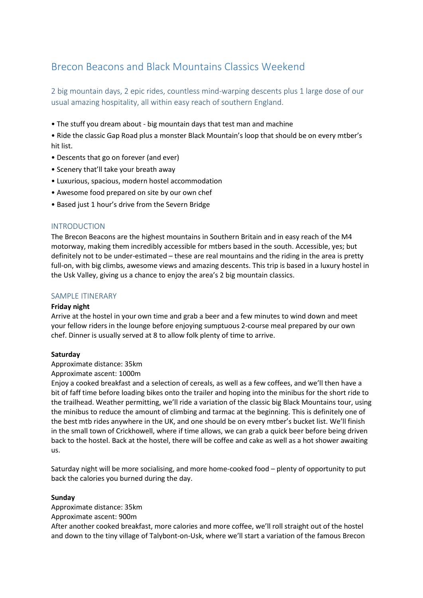# Brecon Beacons and Black Mountains Classics Weekend

2 big mountain days, 2 epic rides, countless mind-warping descents plus 1 large dose of our usual amazing hospitality, all within easy reach of southern England.

• The stuff you dream about - big mountain days that test man and machine

• Ride the classic Gap Road plus a monster Black Mountain's loop that should be on every mtber's hit list.

- Descents that go on forever (and ever)
- Scenery that'll take your breath away
- Luxurious, spacious, modern hostel accommodation
- Awesome food prepared on site by our own chef
- Based just 1 hour's drive from the Severn Bridge

## INTRODUCTION

The Brecon Beacons are the highest mountains in Southern Britain and in easy reach of the M4 motorway, making them incredibly accessible for mtbers based in the south. Accessible, yes; but definitely not to be under-estimated – these are real mountains and the riding in the area is pretty full-on, with big climbs, awesome views and amazing descents. This trip is based in a luxury hostel in the Usk Valley, giving us a chance to enjoy the area's 2 big mountain classics.

# SAMPLE ITINERARY

## **Friday night**

Arrive at the hostel in your own time and grab a beer and a few minutes to wind down and meet your fellow riders in the lounge before enjoying sumptuous 2-course meal prepared by our own chef. Dinner is usually served at 8 to allow folk plenty of time to arrive.

## **Saturday**

Approximate distance: 35km

## Approximate ascent: 1000m

Enjoy a cooked breakfast and a selection of cereals, as well as a few coffees, and we'll then have a bit of faff time before loading bikes onto the trailer and hoping into the minibus for the short ride to the trailhead. Weather permitting, we'll ride a variation of the classic big Black Mountains tour, using the minibus to reduce the amount of climbing and tarmac at the beginning. This is definitely one of the best mtb rides anywhere in the UK, and one should be on every mtber's bucket list. We'll finish in the small town of Crickhowell, where if time allows, we can grab a quick beer before being driven back to the hostel. Back at the hostel, there will be coffee and cake as well as a hot shower awaiting us.

Saturday night will be more socialising, and more home-cooked food – plenty of opportunity to put back the calories you burned during the day.

## **Sunday**

Approximate distance: 35km Approximate ascent: 900m After another cooked breakfast, more calories and more coffee, we'll roll straight out of the hostel and down to the tiny village of Talybont-on-Usk, where we'll start a variation of the famous Brecon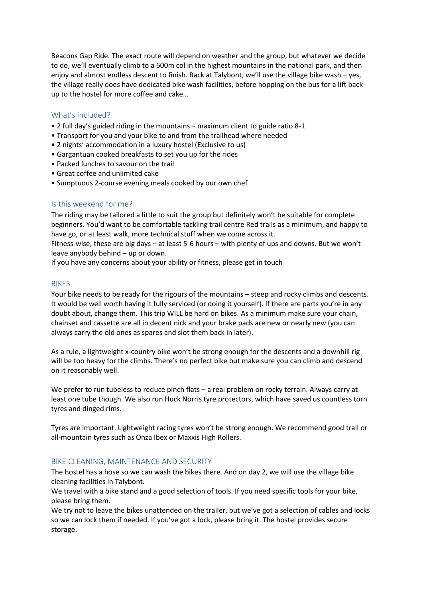Beacons Gap Ride. The exact route will depend on weather and the group, but whatever we decide to do, we'll eventually climb to a 600m col in the highest mountains in the national park, and then enjoy and almost endless descent to finish. Back at Talybont, we'll use the village bike wash – yes, the village really does have dedicated bike wash facilities, before hopping on the bus for a lift back up to the hostel for more coffee and cake…

# What's included?

- 2 full day's guided riding in the mountains maximum client to guide ratio 8-1
- Transport for you and your bike to and from the trailhead where needed
- 2 nights' accommodation in a luxury hostel (Exclusive to us)
- Gargantuan cooked breakfasts to set you up for the rides
- Packed lunches to savour on the trail
- Great coffee and unlimited cake
- Sumptuous 2-course evening meals cooked by our own chef

## Is this weekend for me?

The riding may be tailored a little to suit the group but definitely won't be suitable for complete beginners. You'd want to be comfortable tackling trail centre Red trails as a minimum, and happy to have go, or at least walk, more technical stuff when we come across it.

Fitness-wise, these are big days – at least 5-6 hours – with plenty of ups and downs. But we won't leave anybody behind – up or down.

If you have any concerns about your ability or fitness, please get in touch

#### BIKES

Your bike needs to be ready for the rigours of the mountains – steep and rocky climbs and descents. It would be well worth having it fully serviced (or doing it yourself). If there are parts you're in any doubt about, change them. This trip WILL be hard on bikes. As a minimum make sure your chain, chainset and cassette are all in decent nick and your brake pads are new or nearly new (you can always carry the old ones as spares and slot them back in later).

As a rule, a lightweight x-country bike won't be strong enough for the descents and a downhill rig will be too heavy for the climbs. There's no perfect bike but make sure you can climb and descend on it reasonably well.

We prefer to run tubeless to reduce pinch flats – a real problem on rocky terrain. Always carry at least one tube though. We also run Huck Norris tyre protectors, which have saved us countless torn tyres and dinged rims.

Tyres are important. Lightweight racing tyres won't be strong enough. We recommend good trail or all-mountain tyres such as Onza Ibex or Maxxis High Rollers.

## BIKE CLEANING, MAINTENANCE AND SECURITY

The hostel has a hose so we can wash the bikes there. And on day 2, we will use the village bike cleaning facilities in Talybont.

We travel with a bike stand and a good selection of tools. If you need specific tools for your bike, please bring them.

We try not to leave the bikes unattended on the trailer, but we've got a selection of cables and locks so we can lock them if needed. If you've got a lock, please bring it. The hostel provides secure storage.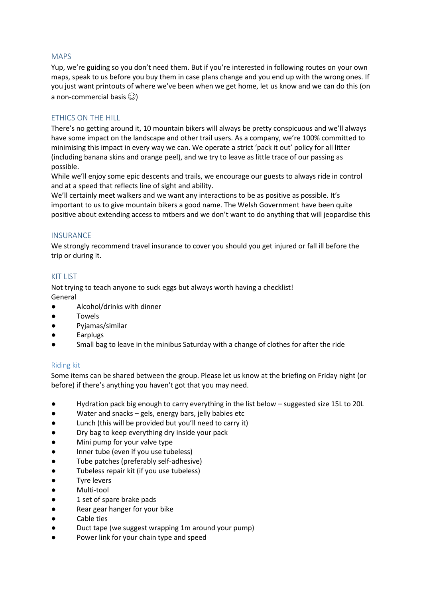## MAPS

Yup, we're guiding so you don't need them. But if you're interested in following routes on your own maps, speak to us before you buy them in case plans change and you end up with the wrong ones. If you just want printouts of where we've been when we get home, let us know and we can do this (on a non-commercial basis  $\odot$ )

# ETHICS ON THE HILL

There's no getting around it, 10 mountain bikers will always be pretty conspicuous and we'll always have some impact on the landscape and other trail users. As a company, we're 100% committed to minimising this impact in every way we can. We operate a strict 'pack it out' policy for all litter (including banana skins and orange peel), and we try to leave as little trace of our passing as possible.

While we'll enjoy some epic descents and trails, we encourage our guests to always ride in control and at a speed that reflects line of sight and ability.

We'll certainly meet walkers and we want any interactions to be as positive as possible. It's important to us to give mountain bikers a good name. The Welsh Government have been quite positive about extending access to mtbers and we don't want to do anything that will jeopardise this

## **INSURANCE**

We strongly recommend travel insurance to cover you should you get injured or fall ill before the trip or during it.

# KIT LIST

Not trying to teach anyone to suck eggs but always worth having a checklist! General

- Alcohol/drinks with dinner
- Towels
- Pyjamas/similar
- **Earplugs**
- Small bag to leave in the minibus Saturday with a change of clothes for after the ride

# Riding kit

Some items can be shared between the group. Please let us know at the briefing on Friday night (or before) if there's anything you haven't got that you may need.

- Hydration pack big enough to carry everything in the list below suggested size 15L to 20L
- Water and snacks gels, energy bars, jelly babies etc
- Lunch (this will be provided but you'll need to carry it)
- Dry bag to keep everything dry inside your pack
- Mini pump for your valve type
- Inner tube (even if you use tubeless)
- Tube patches (preferably self-adhesive)
- Tubeless repair kit (if you use tubeless)
- **Tyre levers**
- Multi-tool
- 1 set of spare brake pads
- Rear gear hanger for your bike
- Cable ties
- Duct tape (we suggest wrapping 1m around your pump)
- Power link for your chain type and speed